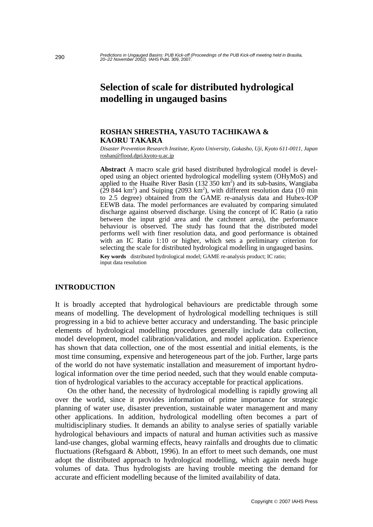# **Selection of scale for distributed hydrological modelling in ungauged basins**

### **ROSHAN SHRESTHA, YASUTO TACHIKAWA & KAORU TAKARA**

*Disaster Prevention Research Institute, Kyoto University, Gokasho, Uji, Kyoto 611-0011, Japan*  roshan@flood.dpri.kyoto-u.ac.jp

**Abstract** A macro scale grid based distributed hydrological model is developed using an object oriented hydrological modelling system (OHyMoS) and applied to the Huaihe River Basin  $(132 350 \text{ km}^2)$  and its sub-basins, Wangjiaba  $(29844 \text{ km}^2)$  and Suiping (2093 km<sup>2</sup>), with different resolution data (10 min to 2.5 degree) obtained from the GAME re-analysis data and Hubex-IOP EEWB data. The model performances are evaluated by comparing simulated discharge against observed discharge. Using the concept of IC Ratio (a ratio between the input grid area and the catchment area), the performance behaviour is observed. The study has found that the distributed model performs well with finer resolution data, and good performance is obtained with an IC Ratio 1:10 or higher, which sets a preliminary criterion for selecting the scale for distributed hydrological modelling in ungauged basins.

**Key words** distributed hydrological model; GAME re-analysis product; IC ratio; input data resolution

## **INTRODUCTION**

It is broadly accepted that hydrological behaviours are predictable through some means of modelling. The development of hydrological modelling techniques is still progressing in a bid to achieve better accuracy and understanding. The basic principle elements of hydrological modelling procedures generally include data collection, model development, model calibration/validation, and model application. Experience has shown that data collection, one of the most essential and initial elements, is the most time consuming, expensive and heterogeneous part of the job. Further, large parts of the world do not have systematic installation and measurement of important hydrological information over the time period needed, such that they would enable computation of hydrological variables to the accuracy acceptable for practical applications.

 On the other hand, the necessity of hydrological modelling is rapidly growing all over the world, since it provides information of prime importance for strategic planning of water use, disaster prevention, sustainable water management and many other applications. In addition, hydrological modelling often becomes a part of multidisciplinary studies. It demands an ability to analyse series of spatially variable hydrological behaviours and impacts of natural and human activities such as massive land-use changes, global warming effects, heavy rainfalls and droughts due to climatic fluctuations (Refsgaard & Abbott, 1996). In an effort to meet such demands, one must adopt the distributed approach to hydrological modelling, which again needs huge volumes of data. Thus hydrologists are having trouble meeting the demand for accurate and efficient modelling because of the limited availability of data.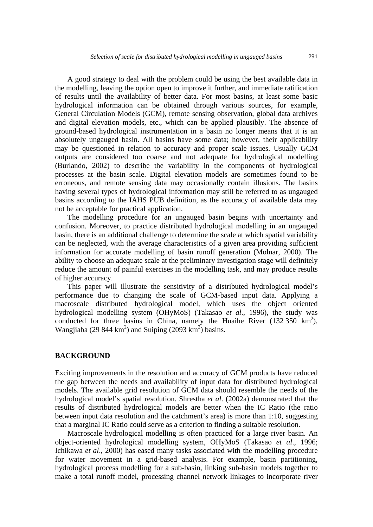A good strategy to deal with the problem could be using the best available data in the modelling, leaving the option open to improve it further, and immediate ratification of results until the availability of better data. For most basins, at least some basic hydrological information can be obtained through various sources, for example, General Circulation Models (GCM), remote sensing observation, global data archives and digital elevation models, etc., which can be applied plausibly. The absence of ground-based hydrological instrumentation in a basin no longer means that it is an absolutely ungauged basin. All basins have some data; however, their applicability may be questioned in relation to accuracy and proper scale issues. Usually GCM outputs are considered too coarse and not adequate for hydrological modelling (Burlando, 2002) to describe the variability in the components of hydrological processes at the basin scale. Digital elevation models are sometimes found to be erroneous, and remote sensing data may occasionally contain illusions. The basins having several types of hydrological information may still be referred to as ungauged basins according to the IAHS PUB definition, as the accuracy of available data may not be acceptable for practical application.

 The modelling procedure for an ungauged basin begins with uncertainty and confusion. Moreover, to practice distributed hydrological modelling in an ungauged basin, there is an additional challenge to determine the scale at which spatial variability can be neglected, with the average characteristics of a given area providing sufficient information for accurate modelling of basin runoff generation (Molnar, 2000). The ability to choose an adequate scale at the preliminary investigation stage will definitely reduce the amount of painful exercises in the modelling task, and may produce results of higher accuracy.

 This paper will illustrate the sensitivity of a distributed hydrological model's performance due to changing the scale of GCM-based input data. Applying a macroscale distributed hydrological model, which uses the object oriented hydrological modelling system (OHyMoS) (Takasao *et al*., 1996), the study was conducted for three basins in China, namely the Huaihe River  $(132 350 \text{ km}^2)$ , Wangjiaba (29 844 km<sup>2</sup>) and Suiping (2093 km<sup>2</sup>) basins.

### **BACKGROUND**

Exciting improvements in the resolution and accuracy of GCM products have reduced the gap between the needs and availability of input data for distributed hydrological models. The available grid resolution of GCM data should resemble the needs of the hydrological model's spatial resolution. Shrestha *et al*. (2002a) demonstrated that the results of distributed hydrological models are better when the IC Ratio (the ratio between input data resolution and the catchment's area) is more than 1:10, suggesting that a marginal IC Ratio could serve as a criterion to finding a suitable resolution.

 Macroscale hydrological modelling is often practiced for a large river basin. An object-oriented hydrological modelling system, OHyMoS (Takasao *et al*., 1996; Ichikawa *et al*., 2000) has eased many tasks associated with the modelling procedure for water movement in a grid-based analysis. For example, basin partitioning, hydrological process modelling for a sub-basin, linking sub-basin models together to make a total runoff model, processing channel network linkages to incorporate river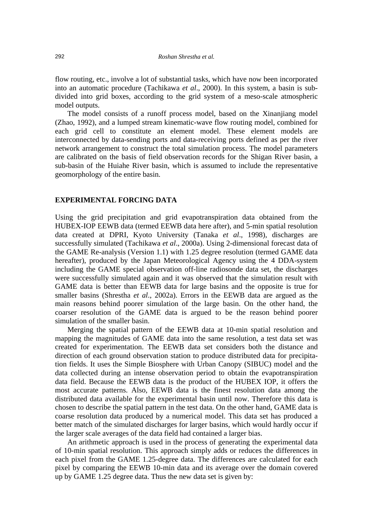flow routing, etc., involve a lot of substantial tasks, which have now been incorporated into an automatic procedure (Tachikawa *et al*., 2000). In this system, a basin is subdivided into grid boxes, according to the grid system of a meso-scale atmospheric model outputs.

 The model consists of a runoff process model, based on the Xinanjiang model (Zhao, 1992), and a lumped stream kinematic-wave flow routing model, combined for each grid cell to constitute an element model. These element models are interconnected by data-sending ports and data-receiving ports defined as per the river network arrangement to construct the total simulation process. The model parameters are calibrated on the basis of field observation records for the Shigan River basin, a sub-basin of the Huiahe River basin, which is assumed to include the representative geomorphology of the entire basin.

#### **EXPERIMENTAL FORCING DATA**

Using the grid precipitation and grid evapotranspiration data obtained from the HUBEX-IOP EEWB data (termed EEWB data here after), and 5-min spatial resolution data created at DPRI, Kyoto University (Tanaka *et al*., 1998), discharges are successfully simulated (Tachikawa *et al*., 2000a). Using 2-dimensional forecast data of the GAME Re-analysis (Version 1.1) with 1.25 degree resolution (termed GAME data hereafter), produced by the Japan Meteorological Agency using the 4 DDA-system including the GAME special observation off-line radiosonde data set, the discharges were successfully simulated again and it was observed that the simulation result with GAME data is better than EEWB data for large basins and the opposite is true for smaller basins (Shrestha *et al*., 2002a). Errors in the EEWB data are argued as the main reasons behind poorer simulation of the large basin. On the other hand, the coarser resolution of the GAME data is argued to be the reason behind poorer simulation of the smaller basin.

 Merging the spatial pattern of the EEWB data at 10-min spatial resolution and mapping the magnitudes of GAME data into the same resolution, a test data set was created for experimentation. The EEWB data set considers both the distance and direction of each ground observation station to produce distributed data for precipitation fields. It uses the Simple Biosphere with Urban Canopy (SIBUC) model and the data collected during an intense observation period to obtain the evapotranspiration data field. Because the EEWB data is the product of the HUBEX IOP, it offers the most accurate patterns. Also, EEWB data is the finest resolution data among the distributed data available for the experimental basin until now. Therefore this data is chosen to describe the spatial pattern in the test data. On the other hand, GAME data is coarse resolution data produced by a numerical model. This data set has produced a better match of the simulated discharges for larger basins, which would hardly occur if the larger scale averages of the data field had contained a larger bias.

 An arithmetic approach is used in the process of generating the experimental data of 10-min spatial resolution. This approach simply adds or reduces the differences in each pixel from the GAME 1.25-degree data. The differences are calculated for each pixel by comparing the EEWB 10-min data and its average over the domain covered up by GAME 1.25 degree data. Thus the new data set is given by: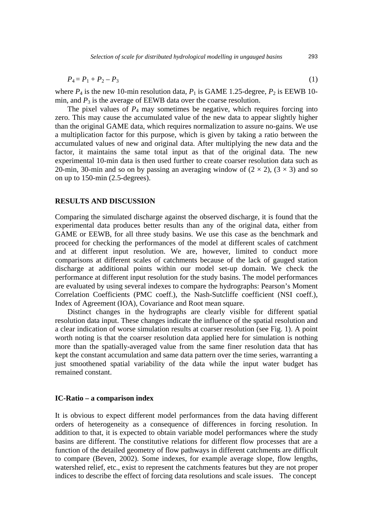$$
P_4 = P_1 + P_2 - P_3 \tag{1}
$$

where  $P_4$  is the new 10-min resolution data,  $P_1$  is GAME 1.25-degree,  $P_2$  is EEWB 10min, and  $P_3$  is the average of EEWB data over the coarse resolution.

The pixel values of  $P_4$  may sometimes be negative, which requires forcing into zero. This may cause the accumulated value of the new data to appear slightly higher than the original GAME data, which requires normalization to assure no-gains. We use a multiplication factor for this purpose, which is given by taking a ratio between the accumulated values of new and original data. After multiplying the new data and the factor, it maintains the same total input as that of the original data. The new experimental 10-min data is then used further to create coarser resolution data such as 20-min, 30-min and so on by passing an averaging window of  $(2 \times 2)$ ,  $(3 \times 3)$  and so on up to 150-min (2.5-degrees).

#### **RESULTS AND DISCUSSION**

Comparing the simulated discharge against the observed discharge, it is found that the experimental data produces better results than any of the original data, either from GAME or EEWB, for all three study basins. We use this case as the benchmark and proceed for checking the performances of the model at different scales of catchment and at different input resolution. We are, however, limited to conduct more comparisons at different scales of catchments because of the lack of gauged station discharge at additional points within our model set-up domain. We check the performance at different input resolution for the study basins. The model performances are evaluated by using several indexes to compare the hydrographs: Pearson's Moment Correlation Coefficients (PMC coeff.), the Nash-Sutcliffe coefficient (NSI coeff.), Index of Agreement (IOA), Covariance and Root mean square.

 Distinct changes in the hydrographs are clearly visible for different spatial resolution data input. These changes indicate the influence of the spatial resolution and a clear indication of worse simulation results at coarser resolution (see Fig. 1). A point worth noting is that the coarser resolution data applied here for simulation is nothing more than the spatially-averaged value from the same finer resolution data that has kept the constant accumulation and same data pattern over the time series, warranting a just smoothened spatial variability of the data while the input water budget has remained constant.

#### **IC-Ratio – a comparison index**

It is obvious to expect different model performances from the data having different orders of heterogeneity as a consequence of differences in forcing resolution. In addition to that, it is expected to obtain variable model performances where the study basins are different. The constitutive relations for different flow processes that are a function of the detailed geometry of flow pathways in different catchments are difficult to compare (Beven, 2002). Some indexes, for example average slope, flow lengths, watershed relief, etc., exist to represent the catchments features but they are not proper indices to describe the effect of forcing data resolutions and scale issues. The concept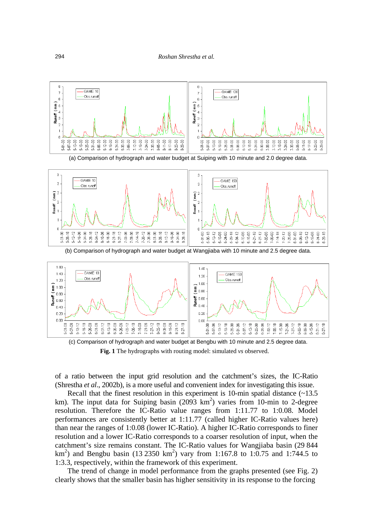





(c) Comparison of hydrograph and water budget at Bengbu with 10 minute and 2.5 degree data. **Fig. 1** The hydrographs with routing model: simulated *vs* observed.

of a ratio between the input grid resolution and the catchment's sizes, the IC-Ratio (Shrestha *et al*., 2002b), is a more useful and convenient index for investigating this issue.

Recall that the finest resolution in this experiment is 10-min spatial distance  $\left(\sim 13.5\right)$ km). The input data for Suiping basin  $(2093 \text{ km}^2)$  varies from 10-min to 2-degree resolution. Therefore the IC-Ratio value ranges from 1:11.77 to 1:0.08. Model performances are consistently better at 1:11.77 (called higher IC-Ratio values here) than near the ranges of 1:0.08 (lower IC-Ratio). A higher IC-Ratio corresponds to finer resolution and a lower IC-Ratio corresponds to a coarser resolution of input, when the catchment's size remains constant. The IC-Ratio values for Wangjiaba basin (29 844 km<sup>2</sup>) and Bengbu basin (13 2350 km<sup>2</sup>) vary from 1:167.8 to 1:0.75 and 1:744.5 to 1:3.3, respectively, within the framework of this experiment.

 The trend of change in model performance from the graphs presented (see Fig. 2) clearly shows that the smaller basin has higher sensitivity in its response to the forcing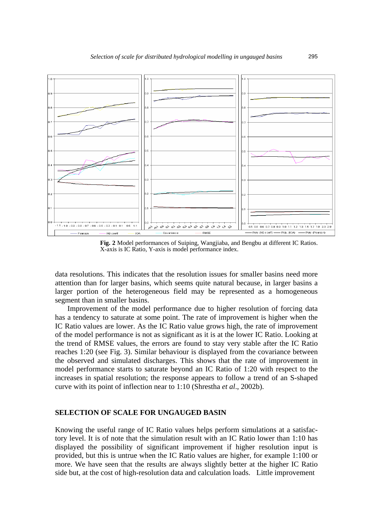

**Fig. 2** Model performances of Suiping, Wangjiaba, and Bengbu at different IC Ratios. X-axis is IC Ratio, Y-axis is model performance index.

data resolutions. This indicates that the resolution issues for smaller basins need more attention than for larger basins, which seems quite natural because, in larger basins a larger portion of the heterogeneous field may be represented as a homogeneous segment than in smaller basins.

 Improvement of the model performance due to higher resolution of forcing data has a tendency to saturate at some point. The rate of improvement is higher when the IC Ratio values are lower. As the IC Ratio value grows high, the rate of improvement of the model performance is not as significant as it is at the lower IC Ratio. Looking at the trend of RMSE values, the errors are found to stay very stable after the IC Ratio reaches 1:20 (see Fig. 3). Similar behaviour is displayed from the covariance between the observed and simulated discharges. This shows that the rate of improvement in model performance starts to saturate beyond an IC Ratio of 1:20 with respect to the increases in spatial resolution; the response appears to follow a trend of an S-shaped curve with its point of inflection near to 1:10 (Shrestha *et al*., 2002b).

#### **SELECTION OF SCALE FOR UNGAUGED BASIN**

Knowing the useful range of IC Ratio values helps perform simulations at a satisfactory level. It is of note that the simulation result with an IC Ratio lower than 1:10 has displayed the possibility of significant improvement if higher resolution input is provided, but this is untrue when the IC Ratio values are higher, for example 1:100 or more. We have seen that the results are always slightly better at the higher IC Ratio side but, at the cost of high-resolution data and calculation loads. Little improvement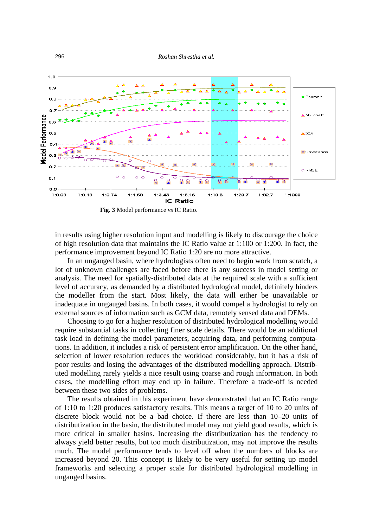



**Fig. 3** Model performance *vs* IC Ratio.

in results using higher resolution input and modelling is likely to discourage the choice of high resolution data that maintains the IC Ratio value at 1:100 or 1:200. In fact, the performance improvement beyond IC Ratio 1:20 are no more attractive.

 In an ungauged basin, where hydrologists often need to begin work from scratch, a lot of unknown challenges are faced before there is any success in model setting or analysis. The need for spatially-distributed data at the required scale with a sufficient level of accuracy, as demanded by a distributed hydrological model, definitely hinders the modeller from the start. Most likely, the data will either be unavailable or inadequate in ungauged basins. In both cases, it would compel a hydrologist to rely on external sources of information such as GCM data, remotely sensed data and DEMs.

 Choosing to go for a higher resolution of distributed hydrological modelling would require substantial tasks in collecting finer scale details. There would be an additional task load in defining the model parameters, acquiring data, and performing computations. In addition, it includes a risk of persistent error amplification. On the other hand, selection of lower resolution reduces the workload considerably, but it has a risk of poor results and losing the advantages of the distributed modelling approach. Distributed modelling rarely yields a nice result using coarse and rough information. In both cases, the modelling effort may end up in failure. Therefore a trade-off is needed between these two sides of problems.

 The results obtained in this experiment have demonstrated that an IC Ratio range of 1:10 to 1:20 produces satisfactory results. This means a target of 10 to 20 units of discrete block would not be a bad choice. If there are less than 10–20 units of distributization in the basin, the distributed model may not yield good results, which is more critical in smaller basins. Increasing the distributization has the tendency to always yield better results, but too much distributization, may not improve the results much. The model performance tends to level off when the numbers of blocks are increased beyond 20. This concept is likely to be very useful for setting up model frameworks and selecting a proper scale for distributed hydrological modelling in ungauged basins.